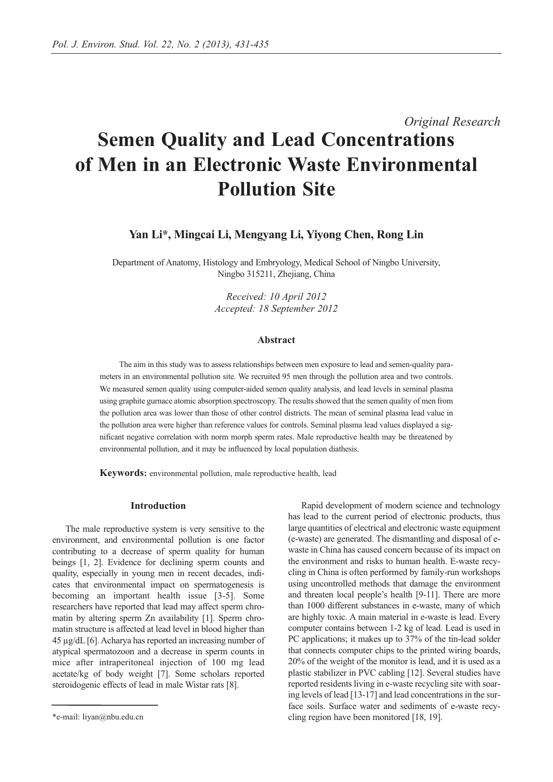# *Original Research* **Semen Quality and Lead Concentrations of Men in an Electronic Waste Environmental Pollution Site**

# **Yan Li\*, Mingcai Li, Mengyang Li, Yiyong Chen, Rong Lin**

Department of Anatomy, Histology and Embryology, Medical School of Ningbo University, Ningbo 315211, Zhejiang, China

> *Received: 10 April 2012 Accepted: 18 September 2012*

## **Abstract**

The aim in this study was to assess relationships between men exposure to lead and semen-quality parameters in an environmental pollution site. We recruited 95 men through the pollution area and two controls. We measured semen quality using computer-aided semen quality analysis, and lead levels in seminal plasma using graphite gurnace atomic absorption spectroscopy. The results showed that the semen quality of men from the pollution area was lower than those of other control districts. The mean of seminal plasma lead value in the pollution area were higher than reference values for controls. Seminal plasma lead values displayed a significant negative correlation with norm morph sperm rates. Male reproductive health may be threatened by environmental pollution, and it may be influenced by local population diathesis.

**Keywords:** environmental pollution, male reproductive health, lead

#### **Introduction**

The male reproductive system is very sensitive to the environment, and environmental pollution is one factor contributing to a decrease of sperm quality for human beings [1, 2]. Evidence for declining sperm counts and quality, especially in young men in recent decades, indicates that environmental impact on spermatogenesis is becoming an important health issue [3-5]. Some researchers have reported that lead may affect sperm chromatin by altering sperm Zn availability [1]. Sperm chromatin structure is affected at lead level in blood higher than 45 µg/dL [6]. Acharya has reported an increasing number of atypical spermatozoon and a decrease in sperm counts in mice after intraperitoneal injection of 100 mg lead acetate/kg of body weight [7]. Some scholars reported steroidogenic effects of lead in male Wistar rats [8].

Rapid development of modern science and technology has lead to the current period of electronic products, thus large quantities of electrical and electronic waste equipment (e-waste) are generated. The dismantling and disposal of ewaste in China has caused concern because of its impact on the environment and risks to human health. E-waste recycling in China is often performed by family-run workshops using uncontrolled methods that damage the environment and threaten local people's health [9-11]. There are more than 1000 different substances in e-waste, many of which are highly toxic. A main material in e-waste is lead. Every computer contains between 1-2 kg of lead. Lead is used in PC applications; it makes up to 37% of the tin-lead solder that connects computer chips to the printed wiring boards, 20% of the weight of the monitor is lead, and it is used as a plastic stabilizer in PVC cabling [12]. Several studies have reported residents living in e-waste recycling site with soaring levels of lead [13-17] and lead concentrations in the surface soils. Surface water and sediments of e-waste recycling region have been monitored [18, 19].

<sup>\*</sup>e-mail: liyan@nbu.edu.cn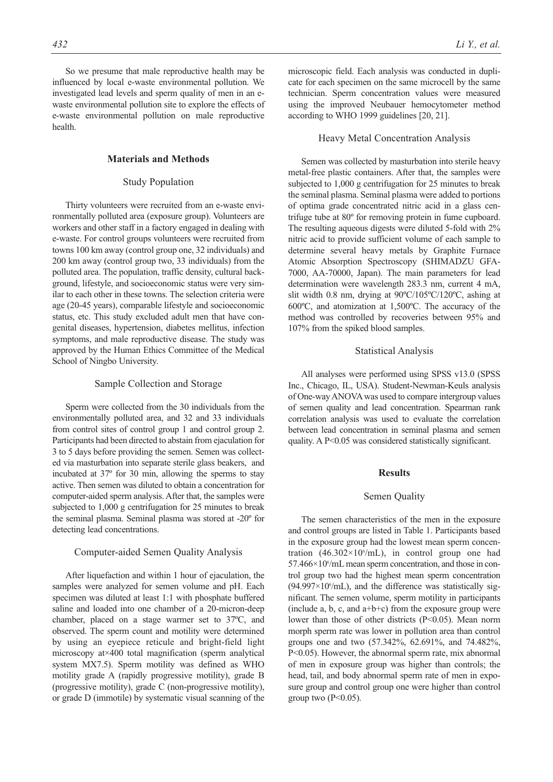So we presume that male reproductive health may be influenced by local e-waste environmental pollution. We investigated lead levels and sperm quality of men in an ewaste environmental pollution site to explore the effects of e-waste environmental pollution on male reproductive health.

#### **Materials and Methods**

#### Study Population

Thirty volunteers were recruited from an e-waste environmentally polluted area (exposure group). Volunteers are workers and other staff in a factory engaged in dealing with e-waste. For control groups volunteers were recruited from towns 100 km away (control group one, 32 individuals) and 200 km away (control group two, 33 individuals) from the polluted area. The population, traffic density, cultural background, lifestyle, and socioeconomic status were very similar to each other in these towns. The selection criteria were age (20-45 years), comparable lifestyle and socioeconomic status, etc. This study excluded adult men that have congenital diseases, hypertension, diabetes mellitus, infection symptoms, and male reproductive disease. The study was approved by the Human Ethics Committee of the Medical School of Ningbo University.

#### Sample Collection and Storage

Sperm were collected from the 30 individuals from the environmentally polluted area, and 32 and 33 individuals from control sites of control group 1 and control group 2. Participants had been directed to abstain from ejaculation for 3 to 5 days before providing the semen. Semen was collected via masturbation into separate sterile glass beakers, and incubated at 37º for 30 min, allowing the sperms to stay active. Then semen was diluted to obtain a concentration for computer-aided sperm analysis. After that, the samples were subjected to 1,000 g centrifugation for 25 minutes to break the seminal plasma. Seminal plasma was stored at -20º for detecting lead concentrations.

## Computer-aided Semen Quality Analysis

After liquefaction and within 1 hour of ejaculation, the samples were analyzed for semen volume and pH. Each specimen was diluted at least 1:1 with phosphate buffered saline and loaded into one chamber of a 20-micron-deep chamber, placed on a stage warmer set to 37ºC, and observed. The sperm count and motility were determined by using an eyepiece reticule and bright-field light microscopy at×400 total magnification (sperm analytical system MX7.5). Sperm motility was defined as WHO motility grade A (rapidly progressive motility), grade B (progressive motility), grade C (non-progressive motility), or grade D (immotile) by systematic visual scanning of the microscopic field. Each analysis was conducted in duplicate for each specimen on the same microcell by the same technician. Sperm concentration values were measured using the improved Neubauer hemocytometer method according to WHO 1999 guidelines [20, 21].

## Heavy Metal Concentration Analysis

Semen was collected by masturbation into sterile heavy metal-free plastic containers. After that, the samples were subjected to 1,000 g centrifugation for 25 minutes to break the seminal plasma. Seminal plasma were added to portions of optima grade concentrated nitric acid in a glass centrifuge tube at 80º for removing protein in fume cupboard. The resulting aqueous digests were diluted 5-fold with 2% nitric acid to provide sufficient volume of each sample to determine several heavy metals by Graphite Furnace Atomic Absorption Spectroscopy (SHIMADZU GFA-7000, AA-70000, Japan). The main parameters for lead determination were wavelength 283.3 nm, current 4 mA, slit width 0.8 nm, drying at 90ºC/105ºC/120ºC, ashing at 600ºC, and atomization at 1,500ºC. The accuracy of the method was controlled by recoveries between 95% and 107% from the spiked blood samples.

#### Statistical Analysis

All analyses were performed using SPSS v13.0 (SPSS Inc., Chicago, IL, USA). Student-Newman-Keuls analysis of One-way ANOVA was used to compare intergroup values of semen quality and lead concentration. Spearman rank correlation analysis was used to evaluate the correlation between lead concentration in seminal plasma and semen quality. A P<0.05 was considered statistically significant.

## **Results**

#### Semen Quality

The semen characteristics of the men in the exposure and control groups are listed in Table 1. Participants based in the exposure group had the lowest mean sperm concentration (46.302×10 $^{\circ}$ /mL), in control group one had 57.466×10°/mL mean sperm concentration, and those in control group two had the highest mean sperm concentration  $(94.997 \times 10^6$ /mL), and the difference was statistically significant. The semen volume, sperm motility in participants (include a, b, c, and  $a+b+c$ ) from the exposure group were lower than those of other districts (P<0.05). Mean norm morph sperm rate was lower in pollution area than control groups one and two (57.342%, 62.691%, and 74.482%, P<0.05). However, the abnormal sperm rate, mix abnormal of men in exposure group was higher than controls; the head, tail, and body abnormal sperm rate of men in exposure group and control group one were higher than control group two  $(P<0.05)$ .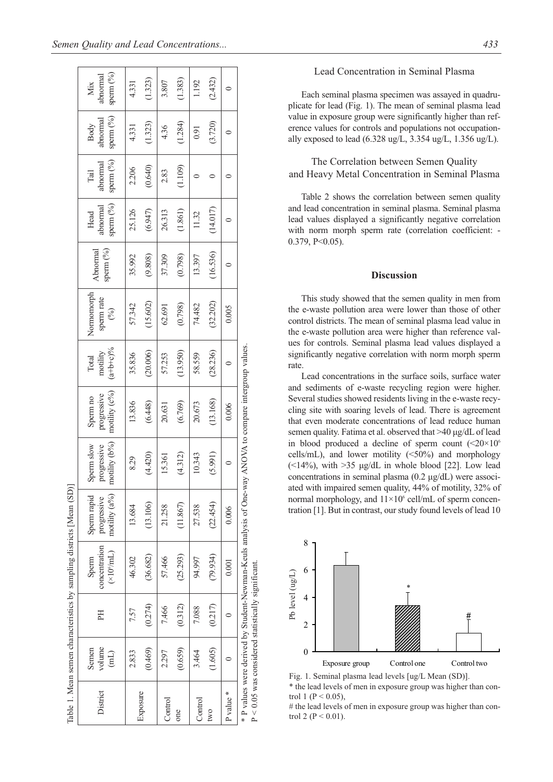|           |                                                                |                                                      | Table 1. Mean semen characteristics by sampling districts [Mean (SD)]                                   |                                             |                                            |                                             |                                  |                                  |                                |                                        |                               |                                        |                              |
|-----------|----------------------------------------------------------------|------------------------------------------------------|---------------------------------------------------------------------------------------------------------|---------------------------------------------|--------------------------------------------|---------------------------------------------|----------------------------------|----------------------------------|--------------------------------|----------------------------------------|-------------------------------|----------------------------------------|------------------------------|
| District  | volume<br>Semen<br>$\begin{pmatrix} 1 \\ 1 \\ 2 \end{pmatrix}$ | H                                                    | concentration<br>$(\times 10^6$ /mL)<br>Sperm                                                           | motility (a%)<br>Sperm rapid<br>progressive | motility (b%)<br>progressive<br>Sperm slow | motility $(c\%)$<br>progressive<br>Sperm no | $(a+b+c)\%$<br>motility<br>Total | Normomorph<br>sperm rate<br>(96) | sperm $(^{9}_{0})$<br>Abnormal | sperm $(^{9}_{0})$<br>abnormal<br>Head | sperm (%)<br>abnormal<br>Tail | sperm $(^{9}_{0})$<br>abnormal<br>Body | sperm (%)<br>abnormal<br>Mix |
| Exposure  | 2.833                                                          | 7.57                                                 | 46.302                                                                                                  | 13.684                                      | 8.29                                       | 13.836                                      | 35.836                           | 57.342                           | 35.992                         | 25.126                                 | 2.206                         | 4.331                                  | 4.331                        |
|           | (0.469)                                                        | (0.274)                                              | (36, 682)                                                                                               | (13.106)                                    | (4.420)                                    | (6.448)                                     | (20.006)                         | (15.602)                         | (9.808)                        | (6.947)                                | (0.640)                       | (1.323)                                | (1.323)                      |
| Control   | 2.297                                                          | 7.466                                                | 57.466                                                                                                  | 21.258                                      | 15.361                                     | 20.631                                      | 57.253                           | 62.691                           | 37.309                         | 26.313                                 | 2.83                          | 4.36                                   | 3.807                        |
| one       | (0.659)                                                        | (0.312)                                              | (25.293)                                                                                                | (11.867)                                    | (4.312)                                    | (6.769)                                     | (13.950)                         | (0.798)                          | (0.798)                        | (1.861)                                | (1.109)                       | (1.284)                                | (1.383)                      |
| Control   | 3.464                                                          | 7.088                                                | 94.997                                                                                                  | 27.538                                      | 10.343                                     | 20.673                                      | 58.559                           | 74.482                           | 13.397                         | 11.32                                  |                               | 0.91                                   | 1.192                        |
| two       | (1.605)                                                        | (0.217)                                              | (79.934)                                                                                                | (22.454)                                    | (5.991)                                    | (13.168)                                    | (28.236)                         | (32.202)                         | (16.536)                       | (14.017)                               |                               | (3.720)                                | (2.432)                      |
| P value * |                                                                |                                                      | 0.001                                                                                                   | 0.006                                       |                                            | 0.006                                       |                                  | 0.005                            |                                |                                        |                               |                                        |                              |
|           |                                                                | $P < 0.05$ was considered statistically significant. | * P values were derived by Student-Newman-Keuls analysis of One-way ANOVA to compare intergroup values. |                                             |                                            |                                             |                                  |                                  |                                |                                        |                               |                                        |                              |

## Lead Concentration in Seminal Plasma

Each seminal plasma specimen was assayed in quadruplicate for lead (Fig. 1). The mean of seminal plasma lead value in exposure group were significantly higher than reference values for controls and populations not occupationally exposed to lead (6.328 ug/L, 3.354 ug/L, 1.356 ug/L).

## The Correlation between Semen Quality and Heavy Metal Concentration in Seminal Plasma

Table 2 shows the correlation between semen quality and lead concentration in seminal plasma. Seminal plasma lead values displayed a significantly negative correlation with norm morph sperm rate (correlation coefficient: - 0.379, P<0.05).

#### **Discussion**

This study showed that the semen quality in men from the e-waste pollution area were lower than those of other control districts. The mean of seminal plasma lead value in the e-waste pollution area were higher than reference values for controls. Seminal plasma lead values displayed a significantly negative correlation with norm morph sperm rate.

Lead concentrations in the surface soils, surface water and sediments of e-waste recycling region were higher. Several studies showed residents living in the e-waste recycling site with soaring levels of lead. There is agreement that even moderate concentrations of lead reduce human semen quality. Fatima et al. observed that >40 μg/dL of lead in blood produced a decline of sperm count  $\langle \leq 20 \times 10^6 \rangle$ cells/mL), and lower motility  $(\leq 50\%)$  and morphology ( $\leq$ 14%), with  $>$ 35 µg/dL in whole blood [22]. Low lead concentrations in seminal plasma (0.2 μg/dL) were associated with impaired semen quality, 44% of motility, 32% of normal morphology, and  $11\times10^6$  cell/mL of sperm concentration [1]. But in contrast, our study found levels of lead 10



\* the lead levels of men in exposure group was higher than control 1 ( $P < 0.05$ ).

# the lead levels of men in exposure group was higher than con-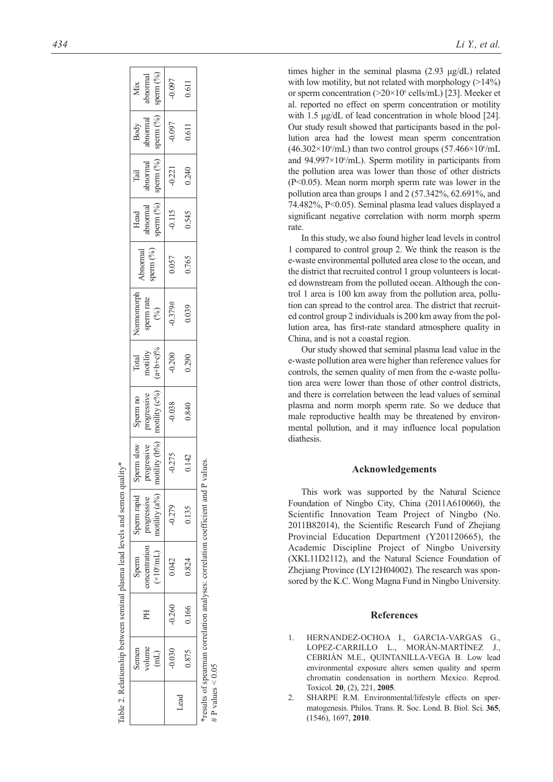|                     |                |          | Table 2. Relationship between seminal plasma lead levels and semen quality*      |                  |               |                                   |                      |                           |                           |                                            |                       |                    |           |
|---------------------|----------------|----------|----------------------------------------------------------------------------------|------------------|---------------|-----------------------------------|----------------------|---------------------------|---------------------------|--------------------------------------------|-----------------------|--------------------|-----------|
|                     | Semen          |          | Sperm                                                                            | Sperm rapid      | perm slow     | Sperm no                          | Total                | Vormomorph                |                           | Head                                       | $\boxed{\text{fail}}$ |                    | Mix       |
|                     | volume         | ΕH       | concentration                                                                    | progressive      | rogressive    | progressive<br>motility ( $c\%$ ) | motility<br>(a+b+c)% | sperm rate $\binom{9}{6}$ | Abnormal<br>perm $( \% )$ | abnormal<br>sperm $(^{\rm o}\!/\!{\rm o})$ | abnormal              | Body<br>abnormal   | abnormal  |
|                     | $\overline{H}$ |          | $(\times 10^6$ /mL)                                                              | motility $(a\%)$ | motility (b%) |                                   |                      |                           |                           |                                            | sperm $(^{0}_{0})$    | sperm $(^{0}_{0})$ | sperm (%) |
|                     | $-0.030$       | $-0.260$ | 0.042                                                                            | $-0.279$         | $-0.275$      | $-0.038$                          | $-0.200$             | $-0.379#$                 | 0.057                     | $-0.115$                                   | $-0.221$              | $-0.097$           | $-0.097$  |
| Lead                | 0.875          | 0.166    | 0.824                                                                            | 0.135            | 0.142         | 0.840                             | 0.290                | 0.039                     | 0.765                     | 0.545                                      | 0.240                 | 0.611              | 0.611     |
| # P values $< 0.05$ |                |          | *results of spearman correlation analyses: correlation coefficient and P values. |                  |               |                                   |                      |                           |                           |                                            |                       |                    |           |

Table 2. Relationship between seminal plasma lead levels and semen quality\*

*434 Li Y., et al.* 

times higher in the seminal plasma (2.93 μg/dL) related with low motility, but not related with morphology  $(>14\%)$ or sperm concentration (>20×10<sup>6</sup> cells/mL) [23]. Meeker et al. reported no effect on sperm concentration or motility with 1.5 μg/dL of lead concentration in whole blood [24]. Our study result showed that participants based in the pollution area had the lowest mean sperm concentration  $(46.302\times10<sup>6</sup>/mL)$  than two control groups  $(57.466\times10<sup>6</sup>/mL)$ and 94.997×10°/mL). Sperm motility in participants from the pollution area was lower than those of other districts (P<0.05). Mean norm morph sperm rate was lower in the pollution area than groups 1 and 2 (57.342%, 62.691%, and 74.482%, P<0.05). Seminal plasma lead values displayed a significant negative correlation with norm morph sperm rate.

In this study, we also found higher lead levels in control 1 compared to control group 2. We think the reason is the e-waste environmental polluted area close to the ocean, and the district that recruited control 1 group volunteers is located downstream from the polluted ocean. Although the control 1 area is 100 km away from the pollution area, pollution can spread to the control area. The district that recruited control group 2 individuals is 200 km away from the pollution area, has first-rate standard atmosphere quality in China, and is not a coastal region.

Our study showed that seminal plasma lead value in the e-waste pollution area were higher than reference values for controls, the semen quality of men from the e-waste pollution area were lower than those of other control districts, and there is correlation between the lead values of seminal plasma and norm morph sperm rate. So we deduce that male reproductive health may be threatened by environmental pollution, and it may influence local population diathesis.

#### **Acknowledgements**

This work was supported by the Natural Science Foundation of Ningbo City, China (2011A610060), the Scientific Innovation Team Project of Ningbo (No. 2011B82014), the Scientific Research Fund of Zhejiang Provincial Education Department (Y201120665), the Academic Discipline Project of Ningbo University (XKL11D2112), and the Natural Science Foundation of Zhejiang Province (LY12H04002). The research was sponsored by the K.C. Wong Magna Fund in Ningbo University.

## **References**

- 1. HERNANDEZ-OCHOA I., GARCIA-VARGAS G., LOPEZ-CARRILLO L., MORÁN-MARTÍNEZ J., CEBRIÁN M.E., QUINTANILLA-VEGA B. Low lead environmental exposure alters semen quality and sperm chromatin condensation in northern Mexico. Reprod. Toxicol. **20**, (2), 221, **2005** .
- 2. SHARPE R.M. Environmental/lifestyle effects on spermatogenesis. Philos. Trans. R. Soc. Lond. B. Biol. Sci. **365**, (1546), 1697, **2010** .